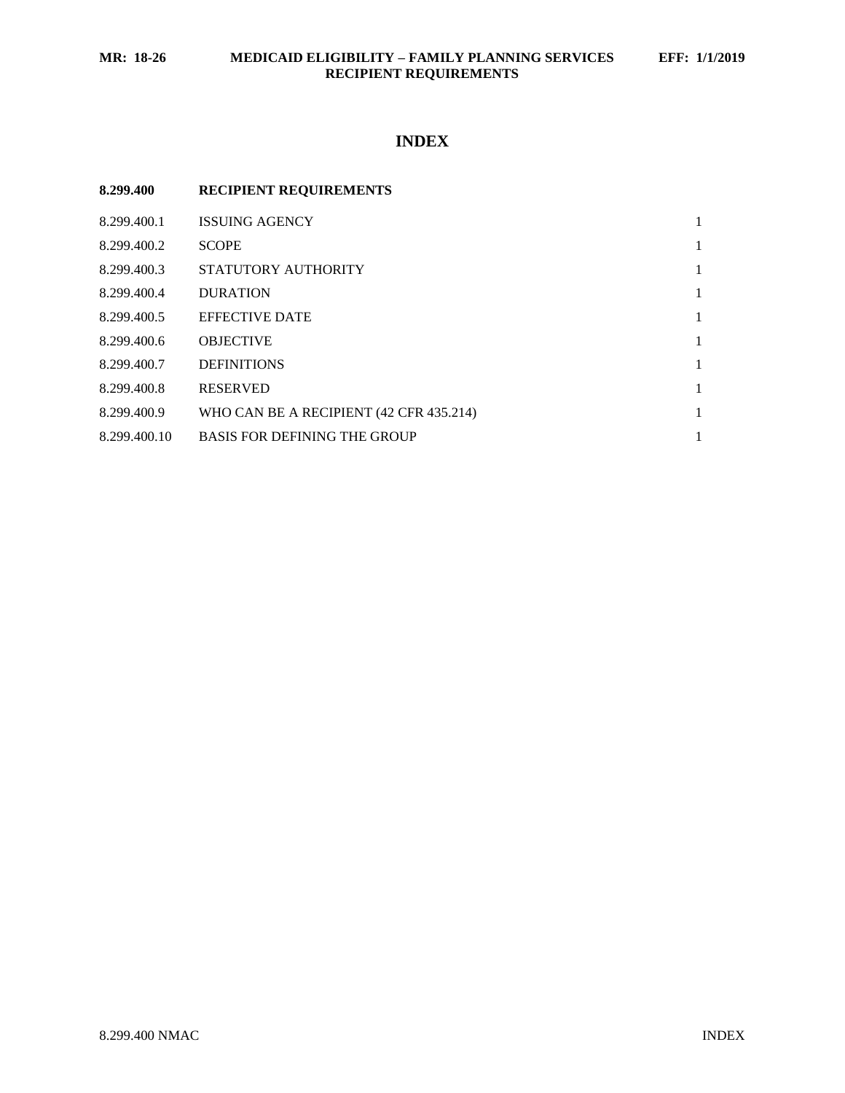# **INDEX**

| 8.299.400    | <b>RECIPIENT REQUIREMENTS</b>           |              |
|--------------|-----------------------------------------|--------------|
| 8.299.400.1  | <b>ISSUING AGENCY</b>                   | 1            |
| 8.299.400.2  | <b>SCOPE</b>                            | 1            |
| 8.299.400.3  | STATUTORY AUTHORITY                     | 1            |
| 8.299.400.4  | <b>DURATION</b>                         | 1            |
| 8.299.400.5  | <b>EFFECTIVE DATE</b>                   | $\mathbf{1}$ |
| 8.299.400.6  | <b>OBJECTIVE</b>                        | 1            |
| 8.299.400.7  | <b>DEFINITIONS</b>                      | $\mathbf{1}$ |
| 8.299.400.8  | <b>RESERVED</b>                         | 1            |
| 8.299.400.9  | WHO CAN BE A RECIPIENT (42 CFR 435.214) | 1            |
| 8.299.400.10 | <b>BASIS FOR DEFINING THE GROUP</b>     |              |